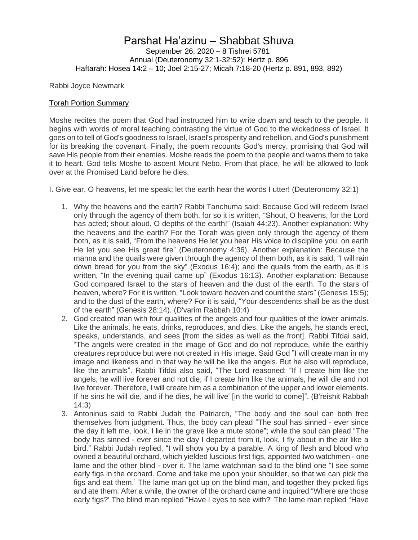## Parshat Ha'azinu – Shabbat Shuva

September 26, 2020 – 8 Tishrei 5781 Annual (Deuteronomy 32:1-32:52): Hertz p. 896 Haftarah: Hosea 14:2 – 10; Joel 2:15-27; Micah 7:18-20 (Hertz p. 891, 893, 892)

Rabbi Joyce Newmark

## Torah Portion Summary

Moshe recites the poem that God had instructed him to write down and teach to the people. It begins with words of moral teaching contrasting the virtue of God to the wickedness of Israel. It goes on to tell of God's goodness to Israel, Israel's prosperity and rebellion, and God's punishment for its breaking the covenant. Finally, the poem recounts God's mercy, promising that God will save His people from their enemies. Moshe reads the poem to the people and warns them to take it to heart. God tells Moshe to ascent Mount Nebo. From that place, he will be allowed to look over at the Promised Land before he dies.

I. Give ear, O heavens, let me speak; let the earth hear the words I utter! (Deuteronomy 32:1)

- 1. Why the heavens and the earth? Rabbi Tanchuma said: Because God will redeem Israel only through the agency of them both, for so it is written, "Shout, O heavens, for the Lord has acted; shout aloud, O depths of the earth!" (Isaiah 44:23). Another explanation: Why the heavens and the earth? For the Torah was given only through the agency of them both, as it is said, "From the heavens He let you hear His voice to discipline you; on earth He let you see His great fire" (Deuteronomy 4:36). Another explanation: Because the manna and the quails were given through the agency of them both, as it is said, "I will rain down bread for you from the sky" (Exodus 16:4); and the quails from the earth, as it is written, "In the evening quail came up" (Exodus 16:13). Another explanation: Because God compared Israel to the stars of heaven and the dust of the earth. To the stars of heaven, where? For it is written, "Look toward heaven and count the stars" (Genesis 15:5); and to the dust of the earth, where? For it is said, "Your descendents shall be as the dust of the earth" (Genesis 28:14). (D'varim Rabbah 10:4)
- 2. God created man with four qualities of the angels and four qualities of the lower animals. Like the animals, he eats, drinks, reproduces, and dies. Like the angels, he stands erect, speaks, understands, and sees [from the sides as well as the front]. Rabbi Tifdai said, "The angels were created in the image of God and do not reproduce, while the earthly creatures reproduce but were not created in His image. Said God "I will create man in my image and likeness and in that way he will be like the angels. But he also will reproduce, like the animals". Rabbi Tifdai also said, "The Lord reasoned: "If I create him like the angels, he will live forever and not die; if I create him like the animals, he will die and not live forever. Therefore, I will create him as a combination of the upper and lower elements. If he sins he will die, and if he dies, he will live' [in the world to come]". (B'reishit Rabbah 14:3)
- 3. Antoninus said to Rabbi Judah the Patriarch, "The body and the soul can both free themselves from judgment. Thus, the body can plead "The soul has sinned - ever since the day it left me, look, I lie in the grave like a mute stone"; while the soul can plead "The body has sinned - ever since the day I departed from it, look, I fly about in the air like a bird." Rabbi Judah replied, "I will show you by a parable. A king of flesh and blood who owned a beautiful orchard, which yielded luscious first figs, appointed two watchmen - one lame and the other blind - over it. The lame watchman said to the blind one "I see some early figs in the orchard. Come and take me upon your shoulder, so that we can pick the figs and eat them.' The lame man got up on the blind man, and together they picked figs and ate them. After a while, the owner of the orchard came and inquired "Where are those early figs?' The blind man replied "Have I eyes to see with?' The lame man replied "Have